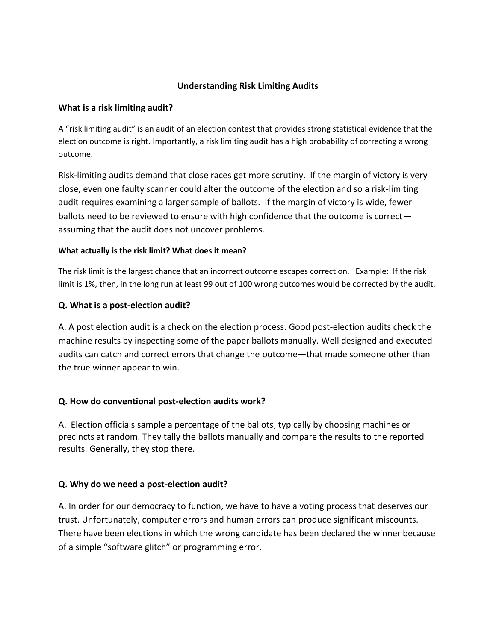### **Understanding Risk Limiting Audits**

### **What is a risk limiting audit?**

A "risk limiting audit" is an audit of an election contest that provides strong statistical evidence that the election outcome is right. Importantly, a risk limiting audit has a high probability of correcting a wrong outcome.

Risk-limiting audits demand that close races get more scrutiny. If the margin of victory is very close, even one faulty scanner could alter the outcome of the election and so a risk-limiting audit requires examining a larger sample of ballots. If the margin of victory is wide, fewer ballots need to be reviewed to ensure with high confidence that the outcome is correct assuming that the audit does not uncover problems.

### **What actually is the risk limit? What does it mean?**

The risk limit is the largest chance that an incorrect outcome escapes correction. Example: If the risk limit is 1%, then, in the long run at least 99 out of 100 wrong outcomes would be corrected by the audit.

### **Q. What is a post-election audit?**

A. A post election audit is a check on the election process. Good post-election audits check the machine results by inspecting some of the paper ballots manually. Well designed and executed audits can catch and correct errors that change the outcome—that made someone other than the true winner appear to win.

## **Q. How do conventional post-election audits work?**

A. Election officials sample a percentage of the ballots, typically by choosing machines or precincts at random. They tally the ballots manually and compare the results to the reported results. Generally, they stop there.

### **Q. Why do we need a post-election audit?**

A. In order for our democracy to function, we have to have a voting process that deserves our trust. Unfortunately, computer errors and human errors can produce significant miscounts. There have been elections in which the wrong candidate has been declared the winner because of a simple "software glitch" or programming error.